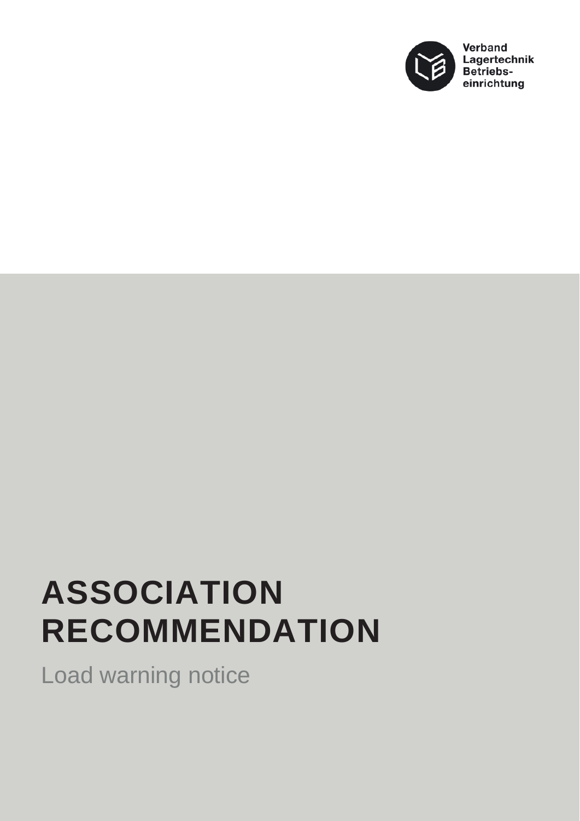

## **ASSOCIATION RECOMMENDATION**

Load warning notice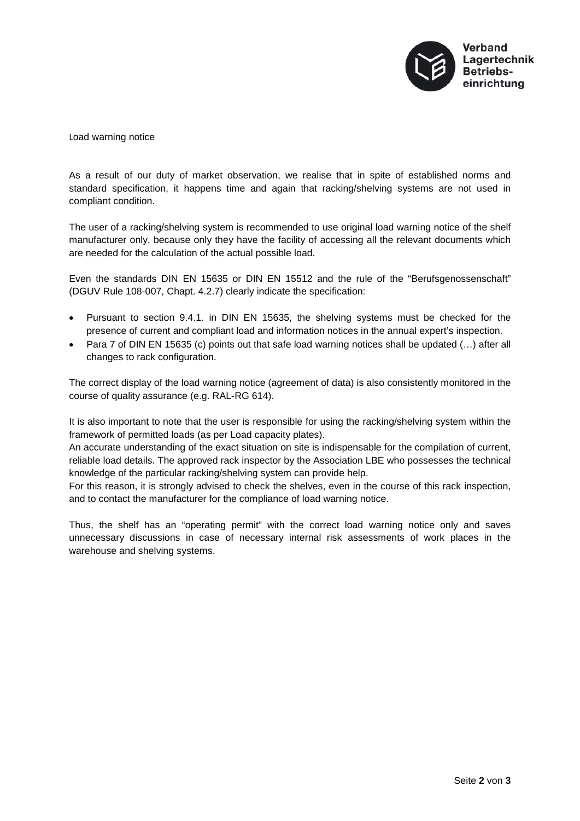

Load warning notice

As a result of our duty of market observation, we realise that in spite of established norms and standard specification, it happens time and again that racking/shelving systems are not used in compliant condition.

The user of a racking/shelving system is recommended to use original load warning notice of the shelf manufacturer only, because only they have the facility of accessing all the relevant documents which are needed for the calculation of the actual possible load.

Even the standards DIN EN 15635 or DIN EN 15512 and the rule of the "Berufsgenossenschaft" (DGUV Rule 108-007, Chapt. 4.2.7) clearly indicate the specification:

- Pursuant to section 9.4.1. in DIN EN 15635, the shelving systems must be checked for the presence of current and compliant load and information notices in the annual expert's inspection.
- Para 7 of DIN EN 15635 (c) points out that safe load warning notices shall be updated (...) after all changes to rack configuration.

The correct display of the load warning notice (agreement of data) is also consistently monitored in the course of quality assurance (e.g. RAL-RG 614).

It is also important to note that the user is responsible for using the racking/shelving system within the framework of permitted loads (as per Load capacity plates).

An accurate understanding of the exact situation on site is indispensable for the compilation of current, reliable load details. The approved rack inspector by the Association LBE who possesses the technical knowledge of the particular racking/shelving system can provide help.

For this reason, it is strongly advised to check the shelves, even in the course of this rack inspection, and to contact the manufacturer for the compliance of load warning notice.

Thus, the shelf has an "operating permit" with the correct load warning notice only and saves unnecessary discussions in case of necessary internal risk assessments of work places in the warehouse and shelving systems.